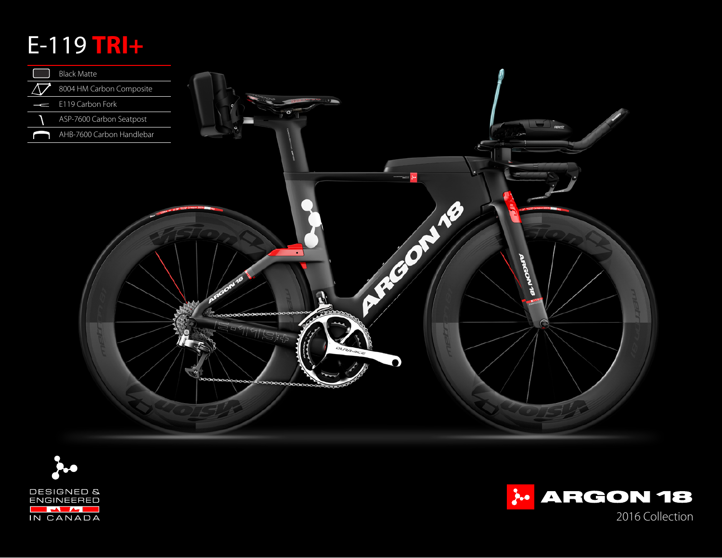## E-119 **TRI+**